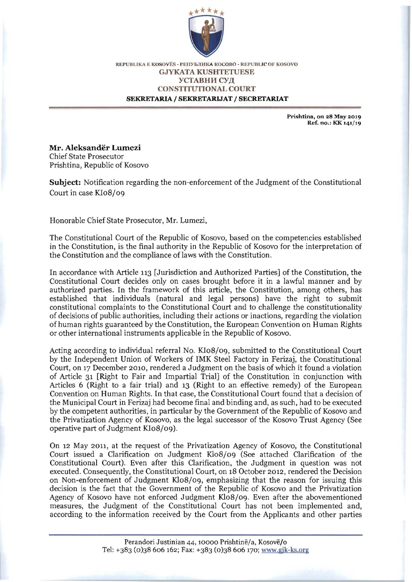

## **REPUBLIKA E KOSOVËS - PEIIYEJIHKA KOCOBO - REPUBLIC OF KOSOVO GJYKATA KUSHTETUESE** УСТАВНИ СУД CONSTITUfIONAL COURT SEKRETARIA / SEKRETARIJAT / SECRETARIAT

**Prishtina) on 28 May 2019 Ref. no.: KK 141/ 19** 

Mr. Aleksandër Lumezi Chief State Prosecutor Prishtina, Republic of Kosovo

**Subject:** Notification regarding the non-enforcement of the Judgment of the Constitutional Court in case KI08/09

Honorable Chief State Prosecutor, Mr. Lumezi,

The Constitutional Court of the Republic of Kosovo, based on the competencies established in the Constitution, is the final authority in the Republic of Kosovo for the interpretation of the Constitution and the compliance of laws with the Constitution.

In accordance with Article 113 [Jurisdiction and Authorized Parties] of the Constitution, the Constitutional Court decides only on cases brought before it in a lawful manner and by authorized parties. In the framework of this article, the Constitution, among others, has established that indiv;duals (natural and legal persons) have the right to submit constitutional complaints to the Constitutional Court and to challenge the constitutionality of decisions of public authorities, including their actions or inactions, regarding the violation of human rights guaranteed by the Constitution, the European Convention on Human Rights or other international instruments applicable in the Republic of Kosovo.

Acting according to individual referral No. KI08/09, submitted to the Constitutional Court by the Independent Union of Workers of IMK Steel Factory in Ferizaj, the Constitutional Court, on 17 December 2010, rendered a Judgment on the basis of which it found a violation of Article 31 [Right to Fair and Impartial Trial] of the Constitution in conjunction with Articles 6 (Right to a fair trial) and 13 (Right to an effective remedy) of the European Convention on Human Rights. In that case, the Constitutional Court found that a decision of the Municipal Court in Ferizaj had become final and binding and, as such, had to be executed by the competent authorities, in particular by the Government of the Republic of Kosovo and the Privatization Agency of Kosovo, as the legal successor of the Kosovo Trust Agency (See operative part of Judgment KI08/09).

On 12 May 2011, at the request of the Privatization Agency of Kosovo, the Constitutional Court issued a Clarification on Judgment Klo8/09 (See attached Clarification of the Constitutional Court). Even after this Clarification, the Judgment in question was not executed. Consequently, the Constitutional Court, on 18 October 2012, rendered the Decision on Non-enforcement of Judgment Klo8/09, emphasizing that the reason for issuing this decision is the fact that the Government of the Republic of Kosovo and the Privatization Agency of Kosovo have not enforced Judgment Kl08/09. Even after the abovementioned measures, the Judgment of the Constitutional Court has not been implemented and, according to the information received by the Court from the Applicants and other parties